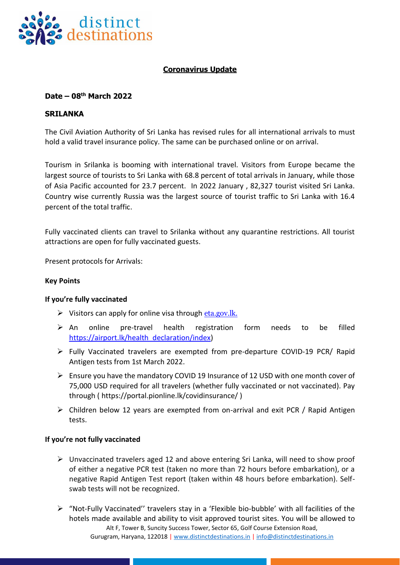

# **Coronavirus Update**

## **Date – 08 th March 2022**

### **SRILANKA**

The Civil Aviation Authority of Sri Lanka has revised rules for all international arrivals to must hold a valid travel insurance policy. The same can be purchased online or on arrival.

Tourism in Srilanka is booming with international travel. Visitors from Europe became the largest source of tourists to Sri Lanka with 68.8 percent of total arrivals in January, while those of Asia Pacific accounted for 23.7 percent. In 2022 January , 82,327 tourist visited Sri Lanka. Country wise currently Russia was the largest source of tourist traffic to Sri Lanka with 16.4 percent of the total traffic.

Fully vaccinated clients can travel to Srilanka without any quarantine restrictions. All tourist attractions are open for fully vaccinated guests.

Present protocols for Arrivals:

#### **Key Points**

#### **If you're fully vaccinated**

- $\triangleright$  Visitors can apply for online visa through eta.gov. Ik.
- $\triangleright$  An online pre-travel health registration form needs to be filled [https://airport.lk/health\\_declaration/index\)](https://airport.lk/health_declaration/index)
- ➢ Fully Vaccinated travelers are exempted from pre-departure COVID-19 PCR/ Rapid Antigen tests from 1st March 2022.
- ➢ Ensure you have the mandatory COVID 19 Insurance of 12 USD with one month cover of 75,000 USD required for all travelers (whether fully vaccinated or not vaccinated). Pay through ( https://portal.pionline.lk/covidinsurance/ )
- $\triangleright$  Children below 12 years are exempted from on-arrival and exit PCR / Rapid Antigen tests.

#### **If you're not fully vaccinated**

- $\triangleright$  Unvaccinated travelers aged 12 and above entering Sri Lanka, will need to show proof of either a negative PCR test (taken no more than 72 hours before embarkation), or a negative Rapid Antigen Test report (taken within 48 hours before embarkation). Selfswab tests will not be recognized.
- Alt F, Tower B, Suncity Success Tower, Sector 65, Golf Course Extension Road, Gurugram, Haryana, 122018 | [www.distinctdestinations.in](http://www.distinctdestinations.in/) | [info@distinctdestinations.in](mailto:info@distinctdestinations.in) ➢ "Not-Fully Vaccinated'' travelers stay in a 'Flexible bio-bubble' with all facilities of the hotels made available and ability to visit approved tourist sites. You will be allowed to